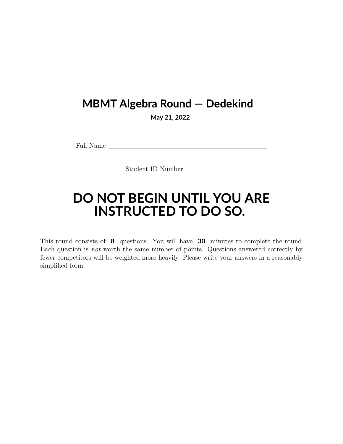## **MBMT Algebra Round — Dedekind**

**May 21, 2022**

Full Name

Student ID Number

## **DO NOT BEGIN UNTIL YOU ARE INSTRUCTED TO DO SO.**

This round consists of **8** questions. You will have **30** minutes to complete the round. Each question is *not* worth the same number of points. Questions answered correctly by fewer competitors will be weighted more heavily. Please write your answers in a reasonably simplified form.